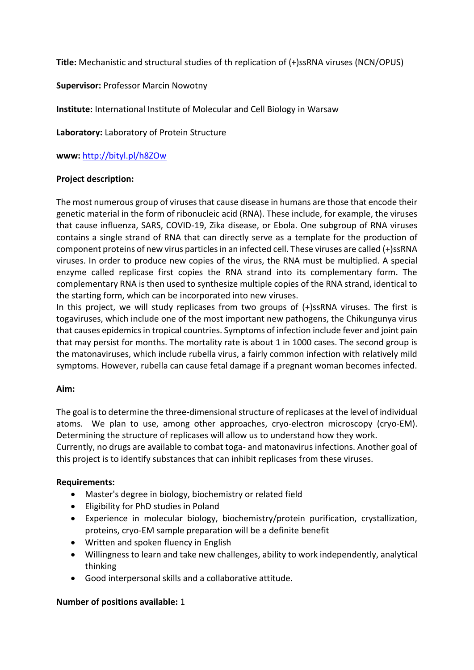**Title:** Mechanistic and structural studies of th replication of (+)ssRNA viruses (NCN/OPUS)

# **Supervisor:** Professor Marcin Nowotny

**Institute:** International Institute of Molecular and Cell Biology in Warsaw

**Laboratory:** Laboratory of Protein Structure

**www:** <http://bityl.pl/h8ZOw>

### **Project description:**

The most numerous group of viruses that cause disease in humans are those that encode their genetic material in the form of ribonucleic acid (RNA). These include, for example, the viruses that cause influenza, SARS, COVID-19, Zika disease, or Ebola. One subgroup of RNA viruses contains a single strand of RNA that can directly serve as a template for the production of component proteins of new virus particles in an infected cell. These viruses are called (+)ssRNA viruses. In order to produce new copies of the virus, the RNA must be multiplied. A special enzyme called replicase first copies the RNA strand into its complementary form. The complementary RNA is then used to synthesize multiple copies of the RNA strand, identical to the starting form, which can be incorporated into new viruses.

In this project, we will study replicases from two groups of (+)ssRNA viruses. The first is togaviruses, which include one of the most important new pathogens, the Chikungunya virus that causes epidemics in tropical countries. Symptoms of infection include fever and joint pain that may persist for months. The mortality rate is about 1 in 1000 cases. The second group is the matonaviruses, which include rubella virus, a fairly common infection with relatively mild symptoms. However, rubella can cause fetal damage if a pregnant woman becomes infected.

# **Aim:**

The goal is to determine the three-dimensional structure of replicases at the level of individual atoms. We plan to use, among other approaches, cryo-electron microscopy (cryo-EM). Determining the structure of replicases will allow us to understand how they work. Currently, no drugs are available to combat toga- and matonavirus infections. Another goal of this project is to identify substances that can inhibit replicases from these viruses.

# **Requirements:**

- Master's degree in biology, biochemistry or related field
- Eligibility for PhD studies in Poland
- Experience in molecular biology, biochemistry/protein purification, crystallization, proteins, cryo-EM sample preparation will be a definite benefit
- Written and spoken fluency in English
- Willingness to learn and take new challenges, ability to work independently, analytical thinking
- Good interpersonal skills and a collaborative attitude.

# **Number of positions available:** 1